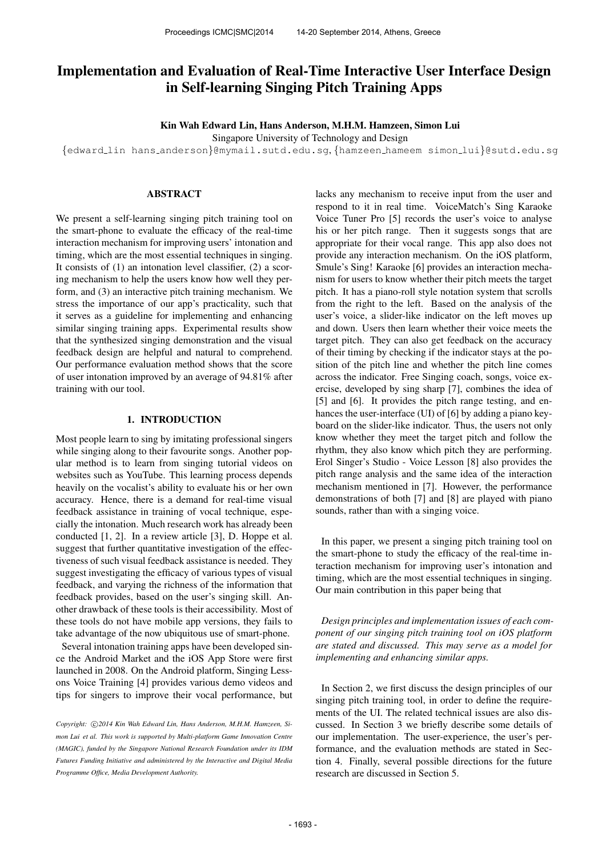# Implementation and Evaluation of Real-Time Interactive User Interface Design in Self-learning Singing Pitch Training Apps

Kin Wah Edward Lin, Hans Anderson, M.H.M. Hamzeen, Simon Lui

Singapore University of Technology and Design

{[edward](mailto:edward_lin@mymail.sutd.edu.sg) lin hans [anderson](mailto:hans_anderson@mymail.sutd.edu.sg)}@mymail.sutd.edu.sg, {[hamzeen](mailto:hamzeen_hameem@sutd.edu.sg) hameem [simon](mailto:simon_lui@sutd.edu.sg) lui}@sutd.edu.sg

# ABSTRACT

We present a self-learning singing pitch training tool on the smart-phone to evaluate the efficacy of the real-time interaction mechanism for improving users' intonation and timing, which are the most essential techniques in singing. It consists of (1) an intonation level classifier, (2) a scoring mechanism to help the users know how well they perform, and (3) an interactive pitch training mechanism. We stress the importance of our app's practicality, such that it serves as a guideline for implementing and enhancing similar singing training apps. Experimental results show that the synthesized singing demonstration and the visual feedback design are helpful and natural to comprehend. Our performance evaluation method shows that the score of user intonation improved by an average of 94.81% after training with our tool.

#### 1. INTRODUCTION

Most people learn to sing by imitating professional singers while singing along to their favourite songs. Another popular method is to learn from singing tutorial videos on websites such as YouTube. This learning process depends heavily on the vocalist's ability to evaluate his or her own accuracy. Hence, there is a demand for real-time visual feedback assistance in training of vocal technique, especially the intonation. Much research work has already been conducted [1, 2]. In a review article [3], D. Hoppe et al. suggest that further quantitative investigation of the effectiveness of such visual feedback assistance is needed. They suggest investigating the efficacy of various types of visual feedback, and varying the richness of the information that feedback provides, based on the user's singing skill. Another drawback of these tools is their accessibility. Most of these tools do not have mobile app versions, they fails to take advantage of the now ubiquitous use of smart-phone.

Several intonation training apps have been developed since the Android Market and the iOS App Store were first launched in 2008. On the Android platform, Singing Lessons Voice Training [4] provides various demo videos and tips for singers to improve their vocal performance, but lacks any mechanism to receive input from the user and respond to it in real time. VoiceMatch's Sing Karaoke Voice Tuner Pro [5] records the user's voice to analyse his or her pitch range. Then it suggests songs that are appropriate for their vocal range. This app also does not provide any interaction mechanism. On the iOS platform, Smule's Sing! Karaoke [6] provides an interaction mechanism for users to know whether their pitch meets the target pitch. It has a piano-roll style notation system that scrolls from the right to the left. Based on the analysis of the user's voice, a slider-like indicator on the left moves up and down. Users then learn whether their voice meets the target pitch. They can also get feedback on the accuracy of their timing by checking if the indicator stays at the position of the pitch line and whether the pitch line comes across the indicator. Free Singing coach, songs, voice exercise, developed by sing sharp [7], combines the idea of [5] and [6]. It provides the pitch range testing, and enhances the user-interface (UI) of [6] by adding a piano keyboard on the slider-like indicator. Thus, the users not only know whether they meet the target pitch and follow the rhythm, they also know which pitch they are performing. Erol Singer's Studio - Voice Lesson [8] also provides the pitch range analysis and the same idea of the interaction mechanism mentioned in [7]. However, the performance demonstrations of both [7] and [8] are played with piano sounds, rather than with a singing voice.

In this paper, we present a singing pitch training tool on the smart-phone to study the efficacy of the real-time interaction mechanism for improving user's intonation and timing, which are the most essential techniques in singing. Our main contribution in this paper being that

*Design principles and implementation issues of each component of our singing pitch training tool on iOS platform are stated and discussed. This may serve as a model for implementing and enhancing similar apps.*

In Section 2, we first discuss the design principles of our singing pitch training tool, in order to define the requirements of the UI. The related technical issues are also discussed. In Section 3 we briefly describe some details of our implementation. The user-experience, the user's performance, and the evaluation methods are stated in Section 4. Finally, several possible directions for the future research are discussed in Section 5.

Copyright:  $\bigcirc$ 2014 Kin Wah Edward Lin, Hans Anderson, M.H.M. Hamzeen, Si*mon Lui et al. This work is supported by Multi-platform Game Innovation Centre (MAGIC), funded by the Singapore National Research Foundation under its IDM Futures Funding Initiative and administered by the Interactive and Digital Media Programme Office, Media Development Authority.*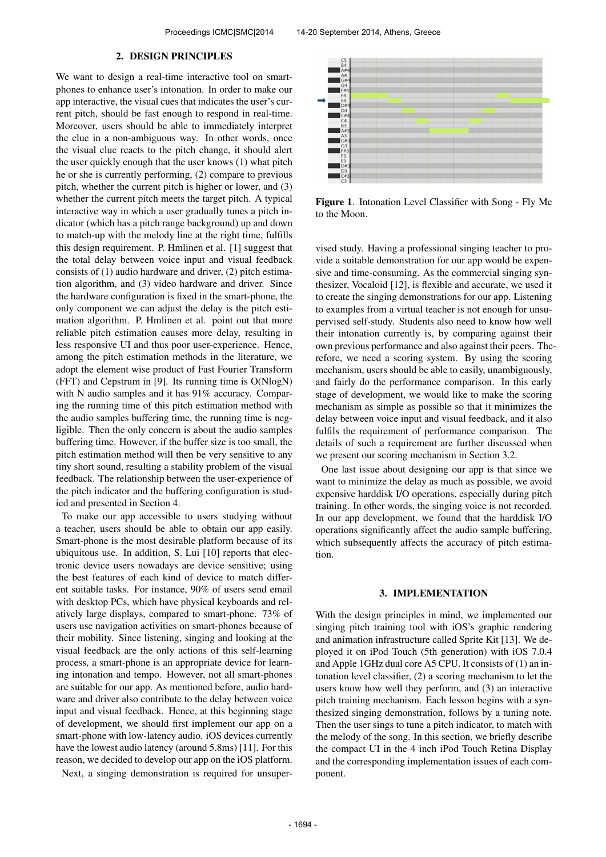#### 2. DESIGN PRINCIPLES

We want to design a real-time interactive tool on smartphones to enhance user's intonation. In order to make our app interactive, the visual cues that indicates the user's current pitch, should be fast enough to respond in real-time. Moreover, users should be able to immediately interpret the clue in a non-ambiguous way. In other words, once the visual clue reacts to the pitch change, it should alert the user quickly enough that the user knows (1) what pitch he or she is currently performing, (2) compare to previous pitch, whether the current pitch is higher or lower, and (3) whether the current pitch meets the target pitch. A typical interactive way in which a user gradually tunes a pitch indicator (which has a pitch range background) up and down to match-up with the melody line at the right time, fulfills this design requirement. P. Hmlinen et al. [1] suggest that the total delay between voice input and visual feedback consists of (1) audio hardware and driver, (2) pitch estimation algorithm, and (3) video hardware and driver. Since the hardware configuration is fixed in the smart-phone, the only component we can adjust the delay is the pitch estimation algorithm. P. Hmlinen et al. point out that more reliable pitch estimation causes more delay, resulting in less responsive UI and thus poor user-experience. Hence, among the pitch estimation methods in the literature, we adopt the element wise product of Fast Fourier Transform (FFT) and Cepstrum in [9]. Its running time is O(NlogN) with N audio samples and it has 91% accuracy. Comparing the running time of this pitch estimation method with the audio samples buffering time, the running time is negligible. Then the only concern is about the audio samples buffering time. However, if the buffer size is too small, the pitch estimation method will then be very sensitive to any tiny short sound, resulting a stability problem of the visual feedback. The relationship between the user-experience of the pitch indicator and the buffering configuration is studied and presented in Section 4.

To make our app accessible to users studying without a teacher, users should be able to obtain our app easily. Smart-phone is the most desirable platform because of its ubiquitous use. In addition, S. Lui [10] reports that electronic device users nowadays are device sensitive; using the best features of each kind of device to match different suitable tasks. For instance, 90% of users send email with desktop PCs, which have physical keyboards and relatively large displays, compared to smart-phone. 73% of users use navigation activities on smart-phones because of their mobility. Since listening, singing and looking at the visual feedback are the only actions of this self-learning process, a smart-phone is an appropriate device for learning intonation and tempo. However, not all smart-phones are suitable for our app. As mentioned before, audio hardware and driver also contribute to the delay between voice input and visual feedback. Hence, at this beginning stage of development, we should first implement our app on a smart-phone with low-latency audio. iOS devices currently have the lowest audio latency (around 5.8ms) [11]. For this reason, we decided to develop our app on the iOS platform. Next, a singing demonstration is required for unsuper-



Figure 1. Intonation Level Classifier with Song - Fly Me to the Moon.

vised study. Having a professional singing teacher to provide a suitable demonstration for our app would be expensive and time-consuming. As the commercial singing synthesizer, Vocaloid [12], is flexible and accurate, we used it to create the singing demonstrations for our app. Listening to examples from a virtual teacher is not enough for unsupervised self-study. Students also need to know how well their intonation currently is, by comparing against their own previous performance and also against their peers. Therefore, we need a scoring system. By using the scoring mechanism, users should be able to easily, unambiguously, and fairly do the performance comparison. In this early stage of development, we would like to make the scoring mechanism as simple as possible so that it minimizes the delay between voice input and visual feedback, and it also fulfils the requirement of performance comparison. The details of such a requirement are further discussed when we present our scoring mechanism in Section 3.2.

One last issue about designing our app is that since we want to minimize the delay as much as possible, we avoid expensive harddisk I/O operations, especially during pitch training. In other words, the singing voice is not recorded. In our app development, we found that the harddisk I/O operations significantly affect the audio sample buffering, which subsequently affects the accuracy of pitch estimation.

#### 3. IMPLEMENTATION

With the design principles in mind, we implemented our singing pitch training tool with iOS's graphic rendering and animation infrastructure called Sprite Kit [13]. We deployed it on iPod Touch (5th generation) with iOS 7.0.4 and Apple 1GHz dual core A5 CPU. It consists of (1) an intonation level classifier, (2) a scoring mechanism to let the users know how well they perform, and (3) an interactive pitch training mechanism. Each lesson begins with a synthesized singing demonstration, follows by a tuning note. Then the user sings to tune a pitch indicator, to match with the melody of the song. In this section, we briefly describe the compact UI in the 4 inch iPod Touch Retina Display and the corresponding implementation issues of each component.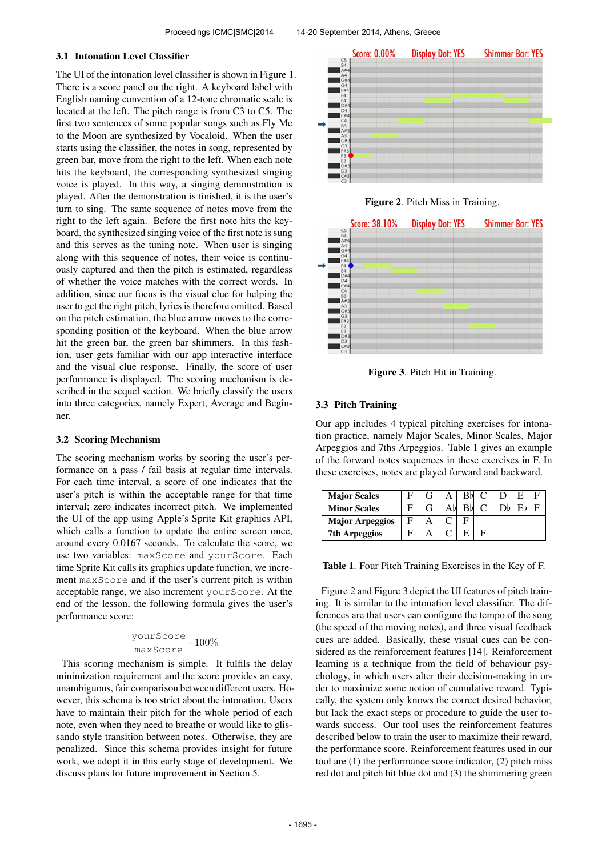### 3.1 Intonation Level Classifier

The UI of the intonation level classifier is shown in Figure 1. There is a score panel on the right. A keyboard label with English naming convention of a 12-tone chromatic scale is located at the left. The pitch range is from C3 to C5. The first two sentences of some popular songs such as Fly Me to the Moon are synthesized by Vocaloid. When the user starts using the classifier, the notes in song, represented by green bar, move from the right to the left. When each note hits the keyboard, the corresponding synthesized singing voice is played. In this way, a singing demonstration is played. After the demonstration is finished, it is the user's turn to sing. The same sequence of notes move from the right to the left again. Before the first note hits the keyboard, the synthesized singing voice of the first note is sung and this serves as the tuning note. When user is singing along with this sequence of notes, their voice is continuously captured and then the pitch is estimated, regardless of whether the voice matches with the correct words. In addition, since our focus is the visual clue for helping the user to get the right pitch, lyrics is therefore omitted. Based on the pitch estimation, the blue arrow moves to the corresponding position of the keyboard. When the blue arrow hit the green bar, the green bar shimmers. In this fashion, user gets familiar with our app interactive interface and the visual clue response. Finally, the score of user performance is displayed. The scoring mechanism is described in the sequel section. We briefly classify the users into three categories, namely Expert, Average and Beginner.

## 3.2 Scoring Mechanism

The scoring mechanism works by scoring the user's performance on a pass / fail basis at regular time intervals. For each time interval, a score of one indicates that the user's pitch is within the acceptable range for that time interval; zero indicates incorrect pitch. We implemented the UI of the app using Apple's Sprite Kit graphics API, which calls a function to update the entire screen once, around every 0.0167 seconds. To calculate the score, we use two variables: maxScore and yourScore. Each time Sprite Kit calls its graphics update function, we increment maxScore and if the user's current pitch is within acceptable range, we also increment yourScore. At the end of the lesson, the following formula gives the user's performance score:

$$
\frac{\text{yourScore}}{\text{maxScore}} \cdot 100\%
$$

This scoring mechanism is simple. It fulfils the delay minimization requirement and the score provides an easy, unambiguous, fair comparison between different users. However, this schema is too strict about the intonation. Users have to maintain their pitch for the whole period of each note, even when they need to breathe or would like to glissando style transition between notes. Otherwise, they are penalized. Since this schema provides insight for future work, we adopt it in this early stage of development. We discuss plans for future improvement in Section 5.







Figure 3. Pitch Hit in Training.

# 3.3 Pitch Training

Our app includes 4 typical pitching exercises for intonation practice, namely Major Scales, Minor Scales, Major Arpeggios and 7ths Arpeggios. Table 1 gives an example of the forward notes sequences in these exercises in F. In these exercises, notes are played forward and backward.

| <b>Major Scales</b>    |  |    | RbL C |  |  |
|------------------------|--|----|-------|--|--|
| <b>Minor Scales</b>    |  | RЫ |       |  |  |
| <b>Major Arpeggios</b> |  |    |       |  |  |
| <b>7th Arpeggios</b>   |  |    |       |  |  |

Table 1. Four Pitch Training Exercises in the Key of F.

Figure 2 and Figure 3 depict the UI features of pitch training. It is similar to the intonation level classifier. The differences are that users can configure the tempo of the song (the speed of the moving notes), and three visual feedback cues are added. Basically, these visual cues can be considered as the reinforcement features [14]. Reinforcement learning is a technique from the field of behaviour psychology, in which users alter their decision-making in order to maximize some notion of cumulative reward. Typically, the system only knows the correct desired behavior, but lack the exact steps or procedure to guide the user towards success. Our tool uses the reinforcement features described below to train the user to maximize their reward, the performance score. Reinforcement features used in our tool are (1) the performance score indicator, (2) pitch miss red dot and pitch hit blue dot and (3) the shimmering green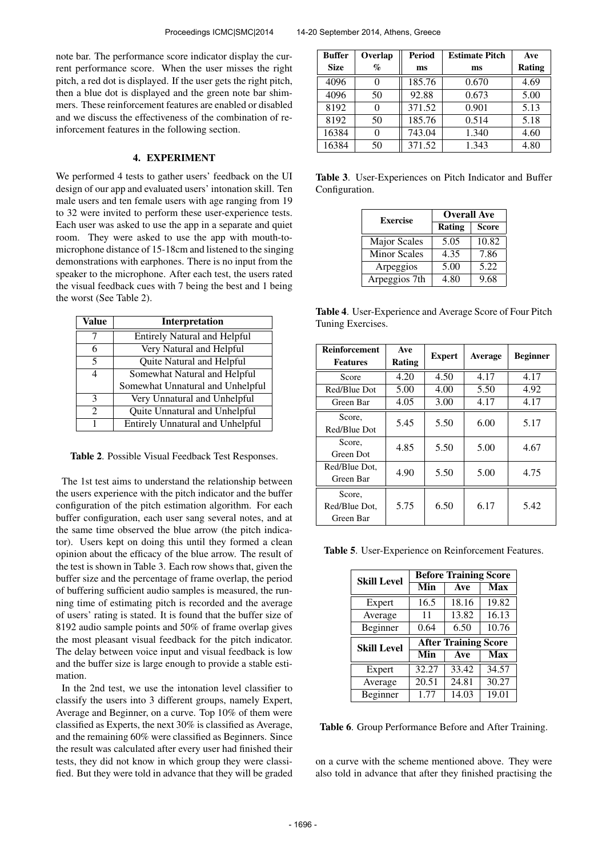note bar. The performance score indicator display the current performance score. When the user misses the right pitch, a red dot is displayed. If the user gets the right pitch, then a blue dot is displayed and the green note bar shimmers. These reinforcement features are enabled or disabled and we discuss the effectiveness of the combination of reinforcement features in the following section.

## 4. EXPERIMENT

We performed 4 tests to gather users' feedback on the UI design of our app and evaluated users' intonation skill. Ten male users and ten female users with age ranging from 19 to 32 were invited to perform these user-experience tests. Each user was asked to use the app in a separate and quiet room. They were asked to use the app with mouth-tomicrophone distance of 15-18cm and listened to the singing demonstrations with earphones. There is no input from the speaker to the microphone. After each test, the users rated the visual feedback cues with 7 being the best and 1 being the worst (See Table 2).

| Value                       | Interpretation                          |
|-----------------------------|-----------------------------------------|
| 7                           | <b>Entirely Natural and Helpful</b>     |
| 6                           | Very Natural and Helpful                |
| 5                           | Quite Natural and Helpful               |
| 4                           | Somewhat Natural and Helpful            |
|                             | Somewhat Unnatural and Unhelpful        |
| $\mathcal{R}$               | Very Unnatural and Unhelpful            |
| $\mathcal{D}_{\mathcal{L}}$ | Quite Unnatural and Unhelpful           |
| 1                           | <b>Entirely Unnatural and Unhelpful</b> |

Table 2. Possible Visual Feedback Test Responses.

The 1st test aims to understand the relationship between the users experience with the pitch indicator and the buffer configuration of the pitch estimation algorithm. For each buffer configuration, each user sang several notes, and at the same time observed the blue arrow (the pitch indicator). Users kept on doing this until they formed a clean opinion about the efficacy of the blue arrow. The result of the test is shown in Table 3. Each row shows that, given the buffer size and the percentage of frame overlap, the period of buffering sufficient audio samples is measured, the running time of estimating pitch is recorded and the average of users' rating is stated. It is found that the buffer size of 8192 audio sample points and 50% of frame overlap gives the most pleasant visual feedback for the pitch indicator. The delay between voice input and visual feedback is low and the buffer size is large enough to provide a stable estimation.

In the 2nd test, we use the intonation level classifier to classify the users into 3 different groups, namely Expert, Average and Beginner, on a curve. Top 10% of them were classified as Experts, the next 30% is classified as Average, and the remaining 60% were classified as Beginners. Since the result was calculated after every user had finished their tests, they did not know in which group they were classified. But they were told in advance that they will be graded

| <b>Buffer</b> | Overlap           | <b>Period</b> | <b>Estimate Pitch</b> | Ave    |
|---------------|-------------------|---------------|-----------------------|--------|
| <b>Size</b>   | $\%$              | ms            | ms                    | Rating |
| 4096          |                   | 185.76        | 0.670                 | 4.69   |
| 4096          | 50                | 92.88         | 0.673                 | 5.00   |
| 8192          |                   | 371.52        | 0.901                 | 5.13   |
| 8192          | 50                | 185.76        | 0.514                 | 5.18   |
| 16384         | $\mathbf{\Omega}$ | 743.04        | 1.340                 | 4.60   |
| 16384         | 50                | 371.52        | 1.343                 | 4.80   |

Table 3. User-Experiences on Pitch Indicator and Buffer Configuration.

| <b>Exercise</b>     | <b>Overall Ave</b> |              |  |
|---------------------|--------------------|--------------|--|
|                     | Rating             | <b>Score</b> |  |
| <b>Major Scales</b> | 5.05               | 10.82        |  |
| <b>Minor Scales</b> | 4.35               | 7.86         |  |
| Arpeggios           | 5.00               | 5.22         |  |
| Arpeggios 7th       | 4.80               | 9.68         |  |

Table 4. User-Experience and Average Score of Four Pitch Tuning Exercises.

| <b>Reinforcement</b><br><b>Features</b> | Ave<br>Rating | <b>Expert</b> | Average | <b>Beginner</b> |
|-----------------------------------------|---------------|---------------|---------|-----------------|
| Score                                   | 4.20          | 4.50          | 4.17    | 4.17            |
| Red/Blue Dot                            | 5.00          | 4.00          | 5.50    | 4.92            |
| Green Bar                               | 4.05          | 3.00          | 4.17    | 4.17            |
| Score,<br>Red/Blue Dot                  | 5.45          | 5.50          | 6.00    | 5.17            |
| Score,<br>Green Dot                     | 4.85          | 5.50          | 5.00    | 4.67            |
| Red/Blue Dot.<br>Green Bar              | 4.90          | 5.50          | 5.00    | 4.75            |
| Score,<br>Red/Blue Dot.<br>Green Bar    | 5.75          | 6.50          | 6.17    | 5.42            |

Table 5. User-Experience on Reinforcement Features.

| <b>Skill Level</b> | <b>Before Training Score</b> |                             |            |  |
|--------------------|------------------------------|-----------------------------|------------|--|
|                    | Min                          | Ave                         | <b>Max</b> |  |
| Expert             | 16.5                         | 18.16                       | 19.82      |  |
| Average            | 11                           | 13.82                       | 16.13      |  |
| Beginner           | 0.64                         | 6.50                        | 10.76      |  |
|                    |                              |                             |            |  |
|                    |                              | <b>After Training Score</b> |            |  |
| <b>Skill Level</b> | Min                          | Ave                         | <b>Max</b> |  |
| Expert             | 32.27                        | 33.42                       | 34.57      |  |
| Average            | 20.51                        | 24.81                       | 30.27      |  |

Table 6. Group Performance Before and After Training.

on a curve with the scheme mentioned above. They were also told in advance that after they finished practising the